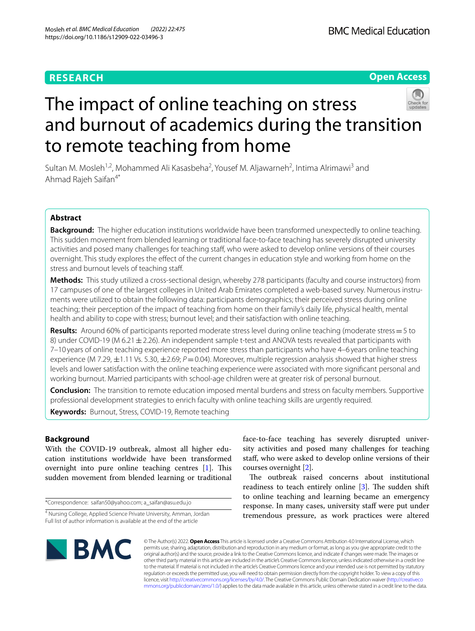# **RESEARCH**

**Open Access**

# The impact of online teaching on stress and burnout of academics during the transition to remote teaching from home

Sultan M. Mosleh<sup>1,2</sup>, Mohammed Ali Kasasbeha<sup>2</sup>, Yousef M. Aljawarneh<sup>2</sup>, Intima Alrimawi<sup>3</sup> and Ahmad Rajeh Saifan4\*

# **Abstract**

**Background:** The higher education institutions worldwide have been transformed unexpectedly to online teaching. This sudden movement from blended learning or traditional face-to-face teaching has severely disrupted university activities and posed many challenges for teaching staff, who were asked to develop online versions of their courses overnight. This study explores the efect of the current changes in education style and working from home on the stress and burnout levels of teaching staf.

**Methods:** This study utilized a cross-sectional design, whereby 278 participants (faculty and course instructors) from 17 campuses of one of the largest colleges in United Arab Emirates completed a web-based survey. Numerous instruments were utilized to obtain the following data: participants demographics; their perceived stress during online teaching; their perception of the impact of teaching from home on their family's daily life, physical health, mental health and ability to cope with stress; burnout level; and their satisfaction with online teaching.

**Results:** Around 60% of participants reported moderate stress level during online teaching (moderate stress=5 to 8) under COVID-19 (M 6.21 ± 2.26). An independent sample t-test and ANOVA tests revealed that participants with 7–10 years of online teaching experience reported more stress than participants who have 4–6 years online teaching experience (M 7.29, ±1.11 Vs. 5.30, ±2.69; *P*=0.04). Moreover, multiple regression analysis showed that higher stress levels and lower satisfaction with the online teaching experience were associated with more signifcant personal and working burnout. Married participants with school-age children were at greater risk of personal burnout.

**Conclusion:** The transition to remote education imposed mental burdens and stress on faculty members. Supportive professional development strategies to enrich faculty with online teaching skills are urgently required.

**Keywords:** Burnout, Stress, COVID-19, Remote teaching

# **Background**

With the COVID-19 outbreak, almost all higher education institutions worldwide have been transformed overnight into pure online teaching centres  $[1]$  $[1]$ . This sudden movement from blended learning or traditional

\*Correspondence: saifan50@yahoo.com; a\_saifan@asu.edu.jo

face-to-face teaching has severely disrupted university activities and posed many challenges for teaching staf, who were asked to develop online versions of their courses overnight [[2\]](#page-8-1).

The outbreak raised concerns about institutional readiness to teach entirely online  $[3]$ . The sudden shift to online teaching and learning became an emergency response. In many cases, university staff were put under tremendous pressure, as work practices were altered



© The Author(s) 2022. **Open Access** This article is licensed under a Creative Commons Attribution 4.0 International License, which permits use, sharing, adaptation, distribution and reproduction in any medium or format, as long as you give appropriate credit to the original author(s) and the source, provide a link to the Creative Commons licence, and indicate if changes were made. The images or other third party material in this article are included in the article's Creative Commons licence, unless indicated otherwise in a credit line to the material. If material is not included in the article's Creative Commons licence and your intended use is not permitted by statutory regulation or exceeds the permitted use, you will need to obtain permission directly from the copyright holder. To view a copy of this licence, visit [http://creativecommons.org/licenses/by/4.0/.](http://creativecommons.org/licenses/by/4.0/) The Creative Commons Public Domain Dedication waiver ([http://creativeco](http://creativecommons.org/publicdomain/zero/1.0/) [mmons.org/publicdomain/zero/1.0/](http://creativecommons.org/publicdomain/zero/1.0/)) applies to the data made available in this article, unless otherwise stated in a credit line to the data.

<sup>&</sup>lt;sup>4</sup> Nursing College, Applied Science Private University, Amman, Jordan Full list of author information is available at the end of the article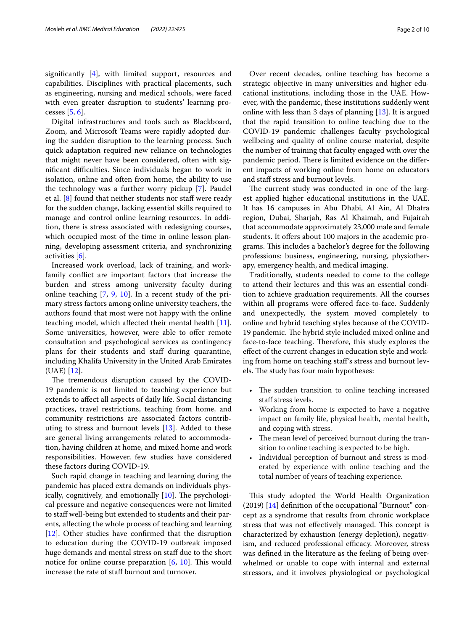signifcantly [\[4\]](#page-8-3), with limited support, resources and capabilities. Disciplines with practical placements, such as engineering, nursing and medical schools, were faced with even greater disruption to students' learning processes [\[5,](#page-8-4) [6](#page-8-5)].

Digital infrastructures and tools such as Blackboard, Zoom, and Microsoft Teams were rapidly adopted during the sudden disruption to the learning process. Such quick adaptation required new reliance on technologies that might never have been considered, often with significant difficulties. Since individuals began to work in isolation, online and often from home, the ability to use the technology was a further worry pickup [[7\]](#page-8-6). Paudel et al. [\[8](#page-8-7)] found that neither students nor staff were ready for the sudden change, lacking essential skills required to manage and control online learning resources. In addition, there is stress associated with redesigning courses, which occupied most of the time in online lesson planning, developing assessment criteria, and synchronizing activities [[6](#page-8-5)].

Increased work overload, lack of training, and workfamily confict are important factors that increase the burden and stress among university faculty during online teaching [[7,](#page-8-6) [9](#page-8-8), [10](#page-8-9)]. In a recent study of the primary stress factors among online university teachers, the authors found that most were not happy with the online teaching model, which afected their mental health [\[11](#page-8-10)]. Some universities, however, were able to offer remote consultation and psychological services as contingency plans for their students and staff during quarantine, including Khalifa University in the United Arab Emirates (UAE) [\[12](#page-8-11)].

The tremendous disruption caused by the COVID-19 pandemic is not limited to teaching experience but extends to afect all aspects of daily life. Social distancing practices, travel restrictions, teaching from home, and community restrictions are associated factors contributing to stress and burnout levels [[13\]](#page-8-12). Added to these are general living arrangements related to accommodation, having children at home, and mixed home and work responsibilities. However, few studies have considered these factors during COVID-19.

Such rapid change in teaching and learning during the pandemic has placed extra demands on individuals physically, cognitively, and emotionally  $[10]$  $[10]$ . The psychological pressure and negative consequences were not limited to staf well-being but extended to students and their parents, afecting the whole process of teaching and learning [[12\]](#page-8-11). Other studies have confrmed that the disruption to education during the COVID-19 outbreak imposed huge demands and mental stress on staff due to the short notice for online course preparation  $[6, 10]$  $[6, 10]$  $[6, 10]$  $[6, 10]$  $[6, 10]$ . This would increase the rate of staff burnout and turnover.

Over recent decades, online teaching has become a strategic objective in many universities and higher educational institutions, including those in the UAE. However, with the pandemic, these institutions suddenly went online with less than 3 days of planning [\[13\]](#page-8-12). It is argued that the rapid transition to online teaching due to the COVID-19 pandemic challenges faculty psychological wellbeing and quality of online course material, despite the number of training that faculty engaged with over the pandemic period. There is limited evidence on the different impacts of working online from home on educators and staff stress and burnout levels.

The current study was conducted in one of the largest applied higher educational institutions in the UAE. It has 16 campuses in Abu Dhabi, Al Ain, Al Dhafra region, Dubai, Sharjah, Ras Al Khaimah, and Fujairah that accommodate approximately 23,000 male and female students. It offers about 100 majors in the academic programs. This includes a bachelor's degree for the following professions: business, engineering, nursing, physiotherapy, emergency health, and medical imaging.

Traditionally, students needed to come to the college to attend their lectures and this was an essential condition to achieve graduation requirements. All the courses within all programs were offered face-to-face. Suddenly and unexpectedly, the system moved completely to online and hybrid teaching styles because of the COVID-19 pandemic. The hybrid style included mixed online and face-to-face teaching. Therefore, this study explores the efect of the current changes in education style and working from home on teaching staf's stress and burnout levels. The study has four main hypotheses:

- The sudden transition to online teaching increased staff stress levels.
- Working from home is expected to have a negative impact on family life, physical health, mental health, and coping with stress.
- The mean level of perceived burnout during the transition to online teaching is expected to be high.
- Individual perception of burnout and stress is moderated by experience with online teaching and the total number of years of teaching experience.

This study adopted the World Health Organization (2019)  $[14]$  $[14]$  $[14]$  definition of the occupational "Burnout" concept as a syndrome that results from chronic workplace stress that was not effectively managed. This concept is characterized by exhaustion (energy depletion), negativism, and reduced professional efficacy. Moreover, stress was defned in the literature as the feeling of being overwhelmed or unable to cope with internal and external stressors, and it involves physiological or psychological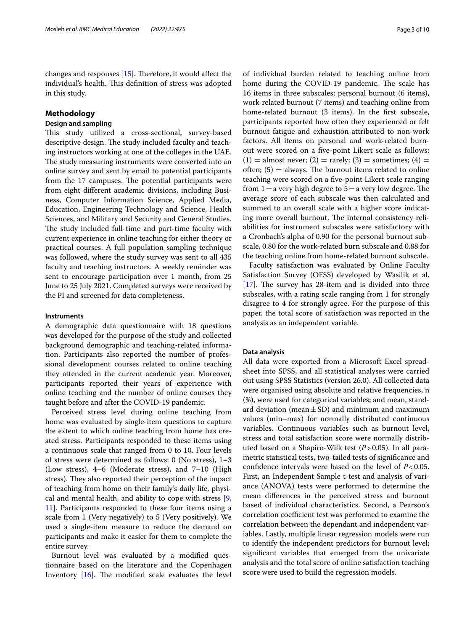changes and responses  $[15]$ . Therefore, it would affect the individual's health. This definition of stress was adopted in this study.

# **Methodology**

# **Design and sampling**

This study utilized a cross-sectional, survey-based descriptive design. The study included faculty and teaching instructors working at one of the colleges in the UAE. The study measuring instruments were converted into an online survey and sent by email to potential participants from the 17 campuses. The potential participants were from eight diferent academic divisions, including Business, Computer Information Science, Applied Media, Education, Engineering Technology and Science, Health Sciences, and Military and Security and General Studies. The study included full-time and part-time faculty with current experience in online teaching for either theory or practical courses. A full population sampling technique was followed, where the study survey was sent to all 435 faculty and teaching instructors. A weekly reminder was sent to encourage participation over 1 month, from 25 June to 25 July 2021. Completed surveys were received by the PI and screened for data completeness.

## **Instruments**

A demographic data questionnaire with 18 questions was developed for the purpose of the study and collected background demographic and teaching-related information. Participants also reported the number of professional development courses related to online teaching they attended in the current academic year. Moreover, participants reported their years of experience with online teaching and the number of online courses they taught before and after the COVID-19 pandemic.

Perceived stress level during online teaching from home was evaluated by single-item questions to capture the extent to which online teaching from home has created stress. Participants responded to these items using a continuous scale that ranged from 0 to 10. Four levels of stress were determined as follows: 0 (No stress), 1–3 (Low stress), 4–6 (Moderate stress), and 7–10 (High stress). They also reported their perception of the impact of teaching from home on their family's daily life, physical and mental health, and ability to cope with stress [\[9](#page-8-8), [11\]](#page-8-10). Participants responded to these four items using a scale from 1 (Very negatively) to 5 (Very positively). We used a single-item measure to reduce the demand on participants and make it easier for them to complete the entire survey.

Burnout level was evaluated by a modifed questionnaire based on the literature and the Copenhagen Inventory  $[16]$  $[16]$ . The modified scale evaluates the level

of individual burden related to teaching online from home during the COVID-19 pandemic. The scale has 16 items in three subscales: personal burnout (6 items), work-related burnout (7 items) and teaching online from home-related burnout (3 items). In the first subscale, participants reported how often they experienced or felt burnout fatigue and exhaustion attributed to non-work factors. All items on personal and work-related burnout were scored on a fve-point Likert scale as follows:  $(1) =$  almost never;  $(2) =$  rarely;  $(3) =$  sometimes;  $(4) =$ often;  $(5)$  = always. The burnout items related to online teaching were scored on a fve-point Likert scale ranging from  $1=a$  very high degree to  $5=a$  very low degree. The average score of each subscale was then calculated and summed to an overall scale with a higher score indicating more overall burnout. The internal consistency reliabilities for instrument subscales were satisfactory with a Cronbach's alpha of 0.90 for the personal burnout subscale, 0.80 for the work-related burn subscale and 0.88 for the teaching online from home-related burnout subscale.

Faculty satisfaction was evaluated by Online Faculty Satisfaction Survey (OFSS) developed by Wasilik et al.  $[17]$  $[17]$ . The survey has 28-item and is divided into three subscales, with a rating scale ranging from 1 for strongly disagree to 4 for strongly agree. For the purpose of this paper, the total score of satisfaction was reported in the analysis as an independent variable.

# **Data analysis**

All data were exported from a Microsoft Excel spreadsheet into SPSS, and all statistical analyses were carried out using SPSS Statistics (version 26.0). All collected data were organised using absolute and relative frequencies, n (%), were used for categorical variables; and mean, standard deviation (mean  $\pm$  SD) and minimum and maximum values (min–max) for normally distributed continuous variables. Continuous variables such as burnout level, stress and total satisfaction score were normally distributed based on a Shapiro-Wilk test (*P*>0.05). In all parametric statistical tests, two-tailed tests of signifcance and confdence intervals were based on the level of *P*<0.05. First, an Independent Sample t-test and analysis of variance (ANOVA) tests were performed to determine the mean diferences in the perceived stress and burnout based of individual characteristics. Second, a Pearson's correlation coefficient test was performed to examine the correlation between the dependant and independent variables. Lastly, multiple linear regression models were run to identify the independent predictors for burnout level; signifcant variables that emerged from the univariate analysis and the total score of online satisfaction teaching score were used to build the regression models.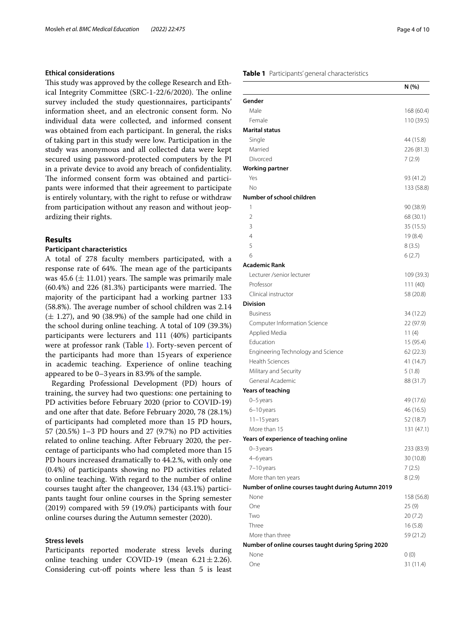# **Ethical considerations**

This study was approved by the college Research and Ethical Integrity Committee (SRC-1-22/6/2020). The online survey included the study questionnaires, participants' information sheet, and an electronic consent form. No individual data were collected, and informed consent was obtained from each participant. In general, the risks of taking part in this study were low. Participation in the study was anonymous and all collected data were kept secured using password-protected computers by the PI in a private device to avoid any breach of confdentiality. The informed consent form was obtained and participants were informed that their agreement to participate is entirely voluntary, with the right to refuse or withdraw from participation without any reason and without jeopardizing their rights.

# **Results**

# **Participant characteristics**

A total of 278 faculty members participated, with a response rate of 64%. The mean age of the participants was 45.6  $(\pm 11.01)$  years. The sample was primarily male  $(60.4\%)$  and 226  $(81.3\%)$  participants were married. The majority of the participant had a working partner 133  $(58.8\%)$ . The average number of school children was  $2.14$  $(\pm 1.27)$ , and 90 (38.9%) of the sample had one child in the school during online teaching. A total of 109 (39.3%) participants were lecturers and 111 (40%) participants were at professor rank (Table [1\)](#page-3-0). Forty-seven percent of the participants had more than 15years of experience in academic teaching. Experience of online teaching appeared to be 0–3years in 83.9% of the sample.

Regarding Professional Development (PD) hours of training, the survey had two questions: one pertaining to PD activities before February 2020 (prior to COVID-19) and one after that date. Before February 2020, 78 (28.1%) of participants had completed more than 15 PD hours, 57 (20.5%) 1–3 PD hours and 27 (9.7%) no PD activities related to online teaching. After February 2020, the percentage of participants who had completed more than 15 PD hours increased dramatically to 44.2.%, with only one (0.4%) of participants showing no PD activities related to online teaching. With regard to the number of online courses taught after the changeover, 134 (43.1%) participants taught four online courses in the Spring semester (2019) compared with 59 (19.0%) participants with four online courses during the Autumn semester (2020).

# **Stress levels**

Participants reported moderate stress levels during online teaching under COVID-19 (mean  $6.21 \pm 2.26$ ). Considering cut-off points where less than 5 is least

# <span id="page-3-0"></span>**Table 1** Participants' general characteristics

|                                                    | N (%)      |
|----------------------------------------------------|------------|
| Gender                                             |            |
| Male                                               | 168 (60.4) |
| Female                                             | 110 (39.5) |
| Marital status                                     |            |
| Single                                             | 44 (15.8)  |
| Married                                            | 226 (81.3) |
| Divorced                                           | 7(2.9)     |
| <b>Working partner</b>                             |            |
| Yes                                                | 93 (41.2)  |
| Νo                                                 | 133 (58.8) |
| Number of school children                          |            |
| 1                                                  | 90 (38.9)  |
| $\overline{2}$                                     | 68 (30.1)  |
| 3                                                  | 35 (15.5)  |
| 4                                                  | 19 (8.4)   |
| 5                                                  | 8(3.5)     |
| 6                                                  | 6(2.7)     |
| <b>Academic Rank</b>                               |            |
| Lecturer / senior lecturer                         | 109 (39.3) |
| Professor                                          | 111(40)    |
| Clinical instructor                                | 58 (20.8)  |
| <b>Division</b>                                    |            |
| <b>Business</b>                                    | 34 (12.2)  |
| Computer Information Science                       | 22 (97.9)  |
| Applied Media                                      | 11 $(4)$   |
| Education                                          | 15 (95.4)  |
| Engineering Technology and Science                 | 62 (22.3)  |
| <b>Health Sciences</b>                             | 41 (14.7)  |
| Military and Security                              | 5(1.8)     |
| General Academic                                   | 88 (31.7)  |
| Years of teaching                                  |            |
| 0-5 years                                          | 49 (17.6)  |
| 6-10 years                                         | 46 (16.5)  |
| $11 - 15$ years                                    | 52 (18.7)  |
| More than 15                                       | 131 (47.1) |
| Years of experience of teaching online             |            |
| 0–3 years                                          | 233 (83.9) |
| 4-6 years                                          | 30 (10.8)  |
| 7-10 years                                         | 7(2.5)     |
| More than ten years                                | 8(2.9)     |
| Number of online courses taught during Autumn 2019 |            |
| None                                               | 158 (56.8) |
| One                                                | 25 (9)     |
| Two                                                | 20 (7.2)   |
| Three                                              | 16(5.8)    |
| More than three                                    | 59 (21.2)  |
| Number of online courses taught during Spring 2020 |            |
| None                                               | 0(0)       |
| One                                                | 31 (11.4)  |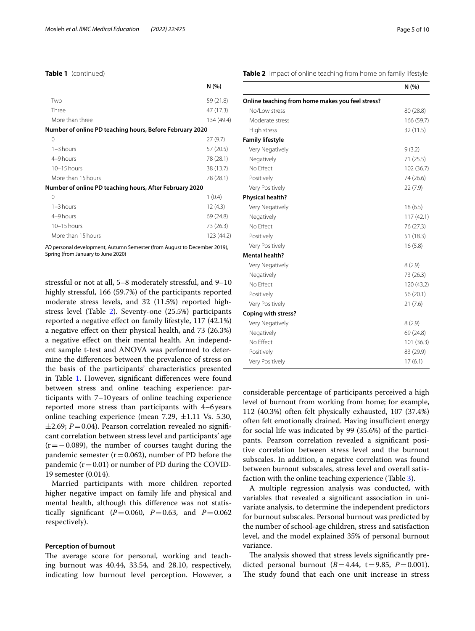# **Table 1** (continued)

|                                                          | N(%)       |
|----------------------------------------------------------|------------|
| Two                                                      | 59 (21.8)  |
| Three                                                    | 47 (17.3)  |
| More than three                                          | 134 (49.4) |
| Number of online PD teaching hours, Before February 2020 |            |
| 0                                                        | 27(9.7)    |
| $1 - 3$ hours                                            | 57 (20.5)  |
| 4-9 hours                                                | 78 (28.1)  |
| $10-15$ hours                                            | 38 (13.7)  |
| More than 15 hours                                       | 78 (28.1)  |
| Number of online PD teaching hours, After February 2020  |            |
| 0                                                        | 1(0.4)     |
| $1 - 3$ hours                                            | 12(4.3)    |
| 4-9 hours                                                | 69 (24.8)  |
| $10 - 15$ hours                                          | 73 (26.3)  |

*PD* personal development, Autumn Semester (from August to December 2019), Spring (from January to June 2020)

More than 15 hours 123 (44.2)

stressful or not at all, 5–8 moderately stressful, and 9–10 highly stressful, 166 (59.7%) of the participants reported moderate stress levels, and 32 (11.5%) reported highstress level (Table [2](#page-4-0)). Seventy-one (25.5%) participants reported a negative efect on family lifestyle, 117 (42.1%) a negative efect on their physical health, and 73 (26.3%) a negative efect on their mental health. An independent sample t-test and ANOVA was performed to determine the diferences between the prevalence of stress on the basis of the participants' characteristics presented in Table [1.](#page-3-0) However, significant differences were found between stress and online teaching experience: participants with 7–10years of online teaching experience reported more stress than participants with 4–6years online teaching experience (mean 7.29,  $\pm$ 1.11 Vs. 5.30,  $\pm$ 2.69; *P* = 0.04). Pearson correlation revealed no significant correlation between stress level and participants' age  $(r=-0.089)$ , the number of courses taught during the pandemic semester ( $r = 0.062$ ), number of PD before the pandemic  $(r=0.01)$  or number of PD during the COVID-19 semester (0.014).

Married participants with more children reported higher negative impact on family life and physical and mental health, although this diference was not statistically significant ( $P = 0.060$ ,  $P = 0.63$ , and  $P = 0.062$ respectively).

## **Perception of burnout**

The average score for personal, working and teaching burnout was 40.44, 33.54, and 28.10, respectively, indicating low burnout level perception. However, a <span id="page-4-0"></span>**Table 2** Impact of online teaching from home on family lifestyle

|                                                  | N(% )      |
|--------------------------------------------------|------------|
| Online teaching from home makes you feel stress? |            |
| No/Low stress                                    | 80 (28.8)  |
| Moderate stress                                  | 166 (59.7) |
| High stress                                      | 32 (11.5)  |
| <b>Family lifestyle</b>                          |            |
| Very Negatively                                  | 9(3.2)     |
| Negatively                                       | 71 (25.5)  |
| No Effect                                        | 102 (36.7) |
| Positively                                       | 74 (26.6)  |
| Very Positively                                  | 22(7.9)    |
| <b>Physical health?</b>                          |            |
| Very Negatively                                  | 18 (6.5)   |
| Negatively                                       | 117(42.1)  |
| No Effect                                        | 76 (27.3)  |
| Positively                                       | 51 (18.3)  |
| Very Positively                                  | 16(5.8)    |
| <b>Mental health?</b>                            |            |
| Very Negatively                                  | 8(2.9)     |
| Negatively                                       | 73 (26.3)  |
| No Effect                                        | 120(43.2)  |
| Positively                                       | 56 (20.1)  |
| Very Positively                                  | 21(7.6)    |
| <b>Coping with stress?</b>                       |            |
| Very Negatively                                  | 8(2.9)     |
| Negatively                                       | 69 (24.8)  |
| No Effect                                        | 101(36.3)  |
| Positively                                       | 83 (29.9)  |
| Very Positively                                  | 17(6.1)    |

considerable percentage of participants perceived a high level of burnout from working from home; for example, 112 (40.3%) often felt physically exhausted, 107 (37.4%) often felt emotionally drained. Having insufficient energy for social life was indicated by 99 (35.6%) of the participants. Pearson correlation revealed a signifcant positive correlation between stress level and the burnout subscales. In addition, a negative correlation was found between burnout subscales, stress level and overall satisfaction with the online teaching experience (Table [3\)](#page-5-0).

A multiple regression analysis was conducted, with variables that revealed a signifcant association in univariate analysis, to determine the independent predictors for burnout subscales. Personal burnout was predicted by the number of school-age children, stress and satisfaction level, and the model explained 35% of personal burnout variance.

The analysis showed that stress levels significantly predicted personal burnout  $(B=4.44, t=9.85, P=0.001)$ . The study found that each one unit increase in stress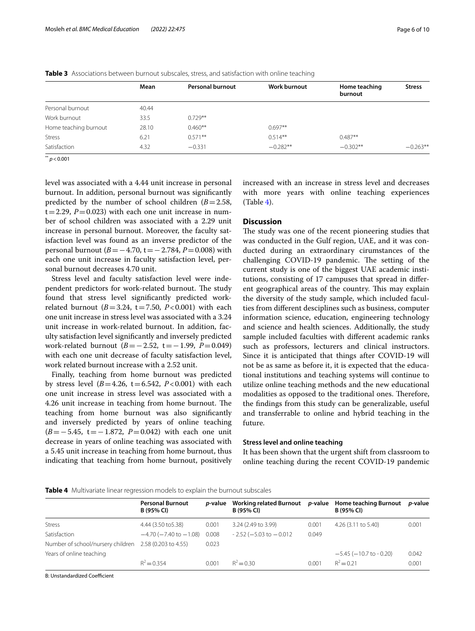|                       | Mean  | <b>Personal burnout</b> | <b>Work burnout</b> | Home teaching<br>burnout | <b>Stress</b> |
|-----------------------|-------|-------------------------|---------------------|--------------------------|---------------|
|                       |       |                         |                     |                          |               |
| Personal burnout      | 40.44 |                         |                     |                          |               |
| Work burnout          | 33.5  | $0.729**$               |                     |                          |               |
| Home teaching burnout | 28.10 | $0.460**$               | $0.697**$           |                          |               |
| <b>Stress</b>         | 6.21  | $0.571**$               | $0.514**$           | $0.487**$                |               |
| Satisfaction          | 4.32  | $-0.331$                | $-0.282**$          | $-0.302**$               | $-0.263**$    |
| 44                    |       |                         |                     |                          |               |

<span id="page-5-0"></span>**Table 3** Associations between burnout subscales, stress, and satisfaction with online teaching

 $p < 0.001$ 

level was associated with a 4.44 unit increase in personal burnout. In addition, personal burnout was signifcantly predicted by the number of school children  $(B=2.58)$ ,  $t=2.29$ ,  $P=0.023$ ) with each one unit increase in number of school children was associated with a 2.29 unit increase in personal burnout. Moreover, the faculty satisfaction level was found as an inverse predictor of the personal burnout (*B*=−4.70, t=−2.784, *P*=0.008) with each one unit increase in faculty satisfaction level, personal burnout decreases 4.70 unit.

Stress level and faculty satisfaction level were independent predictors for work-related burnout. The study found that stress level signifcantly predicted workrelated burnout ( $B = 3.24$ ,  $t = 7.50$ ,  $P < 0.001$ ) with each one unit increase in stress level was associated with a 3.24 unit increase in work-related burnout. In addition, faculty satisfaction level signifcantly and inversely predicted work-related burnout (*B*=−2.52, t=−1.99, *P*=0.049) with each one unit decrease of faculty satisfaction level, work related burnout increase with a 2.52 unit.

Finally, teaching from home burnout was predicted by stress level  $(B=4.26, t=6.542, P<0.001)$  with each one unit increase in stress level was associated with a 4.26 unit increase in teaching from home burnout. The teaching from home burnout was also signifcantly and inversely predicted by years of online teaching (*B*=−5.45, t=−1.872, *P*=0.042) with each one unit decrease in years of online teaching was associated with a 5.45 unit increase in teaching from home burnout, thus indicating that teaching from home burnout, positively increased with an increase in stress level and decreases with more years with online teaching experiences  $(Table 4)$  $(Table 4)$ .

# **Discussion**

The study was one of the recent pioneering studies that was conducted in the Gulf region, UAE, and it was conducted during an extraordinary cirumstances of the challenging COVID-19 pandemic. The setting of the current study is one of the biggest UAE academic institutions, consisting of 17 campuses that spread in diferent geographical areas of the country. This may explain the diversity of the study sample, which included faculties from diferent desciplines such as business, computer information science, education, engineering technology and science and health sciences. Additionally, the study sample included faculties with diferent academic ranks such as professors, lecturers and clinical instructors. Since it is anticipated that things after COVID-19 will not be as same as before it, it is expected that the educational institutions and teaching systems will continue to utilize online teaching methods and the new educational modalities as opposed to the traditional ones. Therefore, the fndings from this study can be generalizable, useful and transferrable to online and hybrid teaching in the future.

## **Stress level and online teaching**

It has been shown that the urgent shift from classroom to online teaching during the recent COVID-19 pandemic

## <span id="page-5-1"></span>**Table 4** Multivariate linear regression models to explain the burnout subscales

|                                   | <b>Personal Burnout</b><br>B (95% CI) | <i>p</i> -value | <b>Working related Burnout</b><br>B (95% CI) | <i>p</i> -value | <b>Home teaching Burnout</b><br><b>B</b> (95% CI) | <i>p</i> -value |
|-----------------------------------|---------------------------------------|-----------------|----------------------------------------------|-----------------|---------------------------------------------------|-----------------|
| <b>Stress</b>                     | 4.44 (3.50 to 5.38)                   | 0.001           | 3.24 (2.49 to 3.99)                          | 0.001           | 4.26 (3.11 to 5.40)                               | 0.001           |
| Satisfaction                      | $-4.70$ ( $-7.40$ to $-1.08$ )        | 0.008           | $-2.52$ (-5.03 to $-0.012$ )                 | 0.049           |                                                   |                 |
| Number of school/nursery children | 2.58 (0.203 to 4.55)                  | 0.023           |                                              |                 |                                                   |                 |
| Years of online teaching          |                                       |                 |                                              |                 | $-5.45$ ( $-10.7$ to $-0.20$ )                    | 0.042           |
|                                   | $R^2 = 0.354$                         | 0.001           | $R^2 = 0.30$                                 | 0.001           | $R^2 = 0.21$                                      | 0.001           |

B: Unstandardized Coefficient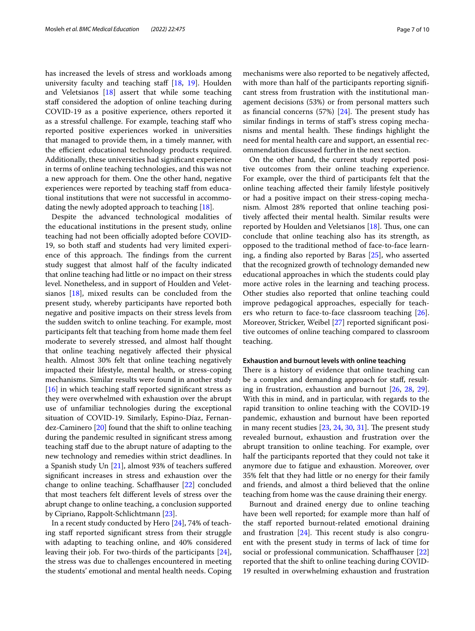has increased the levels of stress and workloads among university faculty and teaching staff  $[18, 19]$  $[18, 19]$  $[18, 19]$ . Houlden and Veletsianos [\[18](#page-9-2)] assert that while some teaching staff considered the adoption of online teaching during COVID-19 as a positive experience, others reported it as a stressful challenge. For example, teaching staff who reported positive experiences worked in universities that managed to provide them, in a timely manner, with the efficient educational technology products required. Additionally, these universities had signifcant experience in terms of online teaching technologies, and this was not a new approach for them. One the other hand, negative experiences were reported by teaching staff from educational institutions that were not successful in accommodating the newly adopted approach to teaching [\[18](#page-9-2)].

Despite the advanced technological modalities of the educational institutions in the present study, online teaching had not been officially adopted before COVID-19, so both staf and students had very limited experience of this approach. The findings from the current study suggest that almost half of the faculty indicated that online teaching had little or no impact on their stress level. Nonetheless, and in support of Houlden and Veletsianos [\[18\]](#page-9-2), mixed results can be concluded from the present study, whereby participants have reported both negative and positive impacts on their stress levels from the sudden switch to online teaching. For example, most participants felt that teaching from home made them feel moderate to severely stressed, and almost half thought that online teaching negatively afected their physical health. Almost 30% felt that online teaching negatively impacted their lifestyle, mental health, or stress-coping mechanisms. Similar results were found in another study  $[16]$  $[16]$  in which teaching staff reported significant stress as they were overwhelmed with exhaustion over the abrupt use of unfamiliar technologies during the exceptional situation of COVID-19. Similarly, Espino-Díaz, Fernandez-Caminero [[20\]](#page-9-4) found that the shift to online teaching during the pandemic resulted in signifcant stress among teaching staf due to the abrupt nature of adapting to the new technology and remedies within strict deadlines. In a Spanish study Un [\[21](#page-9-5)], almost 93% of teachers sufered signifcant increases in stress and exhaustion over the change to online teaching. Schafhauser [\[22](#page-9-6)] concluded that most teachers felt diferent levels of stress over the abrupt change to online teaching, a conclusion supported by Cipriano, Rappolt-Schlichtmann [[23\]](#page-9-7).

In a recent study conducted by Hero [\[24](#page-9-8)], 74% of teaching staf reported signifcant stress from their struggle with adapting to teaching online, and 40% considered leaving their job. For two-thirds of the participants [\[24](#page-9-8)], the stress was due to challenges encountered in meeting the students' emotional and mental health needs. Coping mechanisms were also reported to be negatively afected, with more than half of the participants reporting significant stress from frustration with the institutional management decisions (53%) or from personal matters such as financial concerns  $(57%)$   $[24]$  $[24]$ . The present study has similar fndings in terms of staf's stress coping mechanisms and mental health. These findings highlight the need for mental health care and support, an essential recommendation discussed further in the next section.

On the other hand, the current study reported positive outcomes from their online teaching experience. For example, over the third of participants felt that the online teaching afected their family lifestyle positively or had a positive impact on their stress-coping mechanism. Almost 28% reported that online teaching positively afected their mental health. Similar results were reported by Houlden and Veletsianos  $[18]$  $[18]$  $[18]$ . Thus, one can conclude that online teaching also has its strength, as opposed to the traditional method of face-to-face learning, a fnding also reported by Baras [\[25](#page-9-9)], who asserted that the recognized growth of technology demanded new educational approaches in which the students could play more active roles in the learning and teaching process. Other studies also reported that online teaching could improve pedagogical approaches, especially for teachers who return to face-to-face classroom teaching [\[26](#page-9-10)]. Moreover, Stricker, Weibel [\[27](#page-9-11)] reported signifcant positive outcomes of online teaching compared to classroom teaching.

# **Exhaustion and burnout levels with online teaching**

There is a history of evidence that online teaching can be a complex and demanding approach for staf, resulting in frustration, exhaustion and burnout [\[26](#page-9-10), [28](#page-9-12), [29](#page-9-13)]. With this in mind, and in particular, with regards to the rapid transition to online teaching with the COVID-19 pandemic, exhaustion and burnout have been reported in many recent studies  $[23, 24, 30, 31]$  $[23, 24, 30, 31]$  $[23, 24, 30, 31]$  $[23, 24, 30, 31]$  $[23, 24, 30, 31]$  $[23, 24, 30, 31]$  $[23, 24, 30, 31]$ . The present study revealed burnout, exhaustion and frustration over the abrupt transition to online teaching. For example, over half the participants reported that they could not take it anymore due to fatigue and exhaustion. Moreover, over 35% felt that they had little or no energy for their family and friends, and almost a third believed that the online teaching from home was the cause draining their energy.

Burnout and drained energy due to online teaching have been well reported; for example more than half of the staff reported burnout-related emotional draining and frustration  $[24]$ . This recent study is also congruent with the present study in terms of lack of time for social or professional communication. Schafhauser [[22](#page-9-6)] reported that the shift to online teaching during COVID-19 resulted in overwhelming exhaustion and frustration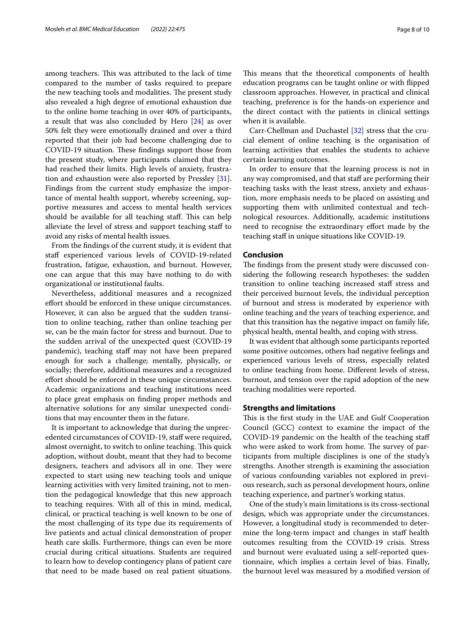among teachers. This was attributed to the lack of time compared to the number of tasks required to prepare the new teaching tools and modalities. The present study also revealed a high degree of emotional exhaustion due to the online home teaching in over 40% of participants, a result that was also concluded by Hero [[24](#page-9-8)] as over 50% felt they were emotionally drained and over a third reported that their job had become challenging due to COVID-19 situation. These findings support those from the present study, where participants claimed that they had reached their limits. High levels of anxiety, frustration and exhaustion were also reported by Pressley [\[31](#page-9-15)]. Findings from the current study emphasize the importance of mental health support, whereby screening, supportive measures and access to mental health services should be available for all teaching staff. This can help alleviate the level of stress and support teaching staf to avoid any risks of mental health issues.

From the fndings of the current study, it is evident that staff experienced various levels of COVID-19-related frustration, fatigue, exhaustion, and burnout. However, one can argue that this may have nothing to do with organizational or institutional faults.

Nevertheless, additional measures and a recognized efort should be enforced in these unique circumstances. However, it can also be argued that the sudden transition to online teaching, rather than online teaching per se, can be the main factor for stress and burnout. Due to the sudden arrival of the unexpected quest (COVID-19 pandemic), teaching staff may not have been prepared enough for such a challenge; mentally, physically, or socially; therefore, additional measures and a recognized efort should be enforced in these unique circumstances. Academic organizations and teaching institutions need to place great emphasis on fnding proper methods and alternative solutions for any similar unexpected conditions that may encounter them in the future.

It is important to acknowledge that during the unprecedented circumstances of COVID-19, staff were required, almost overnight, to switch to online teaching. This quick adoption, without doubt, meant that they had to become designers, teachers and advisors all in one. They were expected to start using new teaching tools and unique learning activities with very limited training, not to mention the pedagogical knowledge that this new approach to teaching requires. With all of this in mind, medical, clinical, or practical teaching is well known to be one of the most challenging of its type due its requirements of live patients and actual clinical demonstration of proper heath care skills. Furthermore, things can even be more crucial during critical situations. Students are required to learn how to develop contingency plans of patient care that need to be made based on real patient situations. This means that the theoretical components of health education programs can be taught online or with fipped classroom approaches. However, in practical and clinical teaching, preference is for the hands-on experience and the direct contact with the patients in clinical settings when it is available.

Carr-Chellman and Duchastel [[32](#page-9-16)] stress that the crucial element of online teaching is the organisation of learning activities that enables the students to achieve certain learning outcomes.

In order to ensure that the learning process is not in any way compromised, and that staff are performing their teaching tasks with the least stress, anxiety and exhaustion, more emphasis needs to be placed on assisting and supporting them with unlimited contextual and technological resources. Additionally, academic institutions need to recognise the extraordinary effort made by the teaching staf in unique situations like COVID-19.

# **Conclusion**

The findings from the present study were discussed considering the following research hypotheses: the sudden transition to online teaching increased staff stress and their perceived burnout levels, the individual perception of burnout and stress is moderated by experience with online teaching and the years of teaching experience, and that this transition has the negative impact on family life, physical health, mental health, and coping with stress.

It was evident that although some participants reported some positive outcomes, others had negative feelings and experienced various levels of stress, especially related to online teaching from home. Diferent levels of stress, burnout, and tension over the rapid adoption of the new teaching modalities were reported.

# **Strengths and limitations**

This is the first study in the UAE and Gulf Cooperation Council (GCC) context to examine the impact of the COVID-19 pandemic on the health of the teaching staf who were asked to work from home. The survey of participants from multiple disciplines is one of the study's strengths. Another strength is examining the association of various confounding variables not explored in previous research, such as personal development hours, online teaching experience, and partner's working status.

One of the study's main limitations is its cross-sectional design, which was appropriate under the circumstances. However, a longitudinal study is recommended to determine the long-term impact and changes in staff health outcomes resulting from the COVID-19 crisis. Stress and burnout were evaluated using a self-reported questionnaire, which implies a certain level of bias. Finally, the burnout level was measured by a modifed version of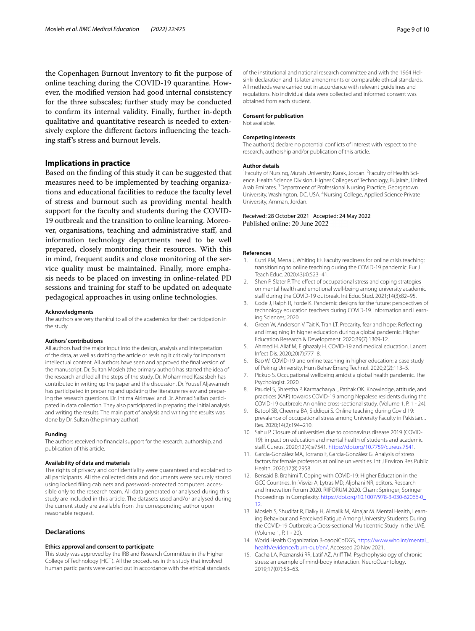the Copenhagen Burnout Inventory to ft the purpose of online teaching during the COVID-19 quarantine. However, the modifed version had good internal consistency for the three subscales; further study may be conducted to confrm its internal validity. Finally, further in-depth qualitative and quantitative research is needed to extensively explore the diferent factors infuencing the teaching staf's stress and burnout levels.

# **Implications in practice**

Based on the fnding of this study it can be suggested that measures need to be implemented by teaching organizations and educational facilities to reduce the faculty level of stress and burnout such as providing mental health support for the faculty and students during the COVID-19 outbreak and the transition to online learning. Moreover, organisations, teaching and administrative staf, and information technology departments need to be well prepared, closely monitoring their resources. With this in mind, frequent audits and close monitoring of the service quality must be maintained. Finally, more emphasis needs to be placed on investing in online-related PD sessions and training for staff to be updated on adequate pedagogical approaches in using online technologies.

#### **Acknowledgments**

The authors are very thankful to all of the academics for their participation in the study.

## **Authors' contributions**

All authors had the major input into the design, analysis and interpretation of the data, as well as drafting the article or revising it critically for important intellectual content. All authors have seen and approved the fnal version of the manuscript. Dr. Sultan Mosleh (the primary author) has started the idea of the research and led all the steps of the study. Dr. Mohammed Kasasbeh has contributed in writing up the paper and the discussion. Dr. Yousef Aljawarneh has participated in preparing and updating the literature review and preparing the research questions. Dr. Intima Alrimawi and Dr. Ahmad Saifan participated in data collection. They also participated in preparing the initial analysis and writing the results. The main part of analysis and writing the results was done by Dr. Sultan (the primary author).

#### **Funding**

The authors received no fnancial support for the research, authorship, and publication of this article.

#### **Availability of data and materials**

The rights of privacy and confidentiality were guaranteed and explained to all participants. All the collected data and documents were securely stored using locked filing cabinets and password-protected computers, accessible only to the research team. All data generated or analysed during this study are included in this article. The datasets used and/or analysed during the current study are available from the corresponding author upon reasonable request.

#### **Declarations**

#### **Ethics approval and consent to participate**

This study was approved by the IRB and Research Committee in the Higher College of Technology (HCT). All the procedures in this study that involved human participants were carried out in accordance with the ethical standards of the institutional and national research committee and with the 1964 Helsinki declaration and its later amendments or comparable ethical standards. All methods were carried out in accordance with relevant guidelines and regulations. No individual data were collected and informed consent was obtained from each student.

#### **Consent for publication**

Not available.

#### **Competing interests**

The author(s) declare no potential conficts of interest with respect to the research, authorship and/or publication of this article.

#### **Author details**

<sup>1</sup> Faculty of Nursing, Mutah University, Karak, Jordan. <sup>2</sup> Faculty of Health Science, Health Science Division, Higher Colleges of Technology, Fujairah, United Arab Emirates.<sup>3</sup> Department of Professional Nursing Practice, Georgetown University, Washington, DC, USA. <sup>4</sup>Nursing College, Applied Science Private University, Amman, Jordan.

# Received: 28 October 2021 Accepted: 24 May 2022 Published online: 20 June 2022

#### **References**

- <span id="page-8-0"></span>Cutri RM, Mena J, Whiting EF. Faculty readiness for online crisis teaching: transitioning to online teaching during the COVID-19 pandemic. Eur J Teach Educ. 2020;43(4):523–41.
- <span id="page-8-1"></span>Shen P, Slater P. The effect of occupational stress and coping strategies on mental health and emotional well-being among university academic staff during the COVID-19 outbreak. Int Educ Stud. 2021;14(3):82-95.
- <span id="page-8-2"></span>3. Code J, Ralph R, Forde K. Pandemic designs for the future: perspectives of technology education teachers during COVID-19. Information and Learning Sciences; 2020.
- <span id="page-8-3"></span>4. Green W, Anderson V, Tait K, Tran LT. Precarity, fear and hope: Refecting and imagining in higher education during a global pandemic. Higher Education Research & Development. 2020;39(7):1309-12.
- <span id="page-8-4"></span>5. Ahmed H, Allaf M, Elghazaly H. COVID-19 and medical education. Lancet Infect Dis. 2020;20(7):777–8.
- <span id="page-8-5"></span>6. Bao W. COVID-19 and online teaching in higher education: a case study of Peking University. Hum Behav Emerg Technol. 2020;2(2):113–5.
- <span id="page-8-6"></span>7. Pickup S. Occupational wellbeing amidst a global health pandemic. The Psychologist. 2020.
- <span id="page-8-7"></span>8. Paudel S, Shrestha P, Karmacharya I, Pathak OK. Knowledge, attitude, and practices (KAP) towards COVID-19 among Nepalese residents during the COVID-19 outbreak: An online cross-sectional study. (Volume 1, P. 1 - 24).
- <span id="page-8-8"></span>9. Batool SB, Cheema BA, Siddiqui S. Online teaching during Covid 19: prevalence of occupational stress among University Faculty in Pakistan. J Res. 2020;14(2):194–210.
- <span id="page-8-9"></span>10. Sahu P. Closure of universities due to coronavirus disease 2019 (COVID-19): impact on education and mental health of students and academic staf. Cureus. 2020;12(4):e7541. [https://doi.org/10.7759/cureus.7541.](https://doi.org/10.7759/cureus.7541)
- <span id="page-8-10"></span>11. García-González MA, Torrano F, García-González G. Analysis of stress factors for female professors at online universities. Int J Environ Res Public Health. 2020;17(8):2958.
- <span id="page-8-11"></span>12. Bensaid B, Brahimi T. Coping with COVID-19: Higher Education in the GCC Countries. In: Visvizi A, Lytras MD, Aljohani NR, editors. Research and Innovation Forum 2020. RIIFORUM 2020. Cham: Springer; Springer Proceedings in Complexity. [https://doi.org/10.1007/978-3-030-62066-0\\_](https://doi.org/10.1007/978-3-030-62066-0_12) [12](https://doi.org/10.1007/978-3-030-62066-0_12).
- <span id="page-8-12"></span>13. Mosleh S, Shudifat R, Dalky H, Almalik M, Alnajar M. Mental Health, Learning Behaviour and Perceived Fatigue Among University Students During the COVID-19 Outbreak: a Cross-sectional Multicentric Study in the UAE. (Volume 1, P. 1 - 20).
- <span id="page-8-13"></span>14. World Health Organization B-oaopiCoDGS, [https://www.who.int/mental\\_](https://www.who.int/mental_health/evidence/burn-out/en/) [health/evidence/burn-out/en/](https://www.who.int/mental_health/evidence/burn-out/en/). Accessed 20 Nov 2021.
- <span id="page-8-14"></span>15. Cacha LA, Poznanski RR, Latif AZ, Arif TM. Psychophysiology of chronic stress: an example of mind-body interaction. NeuroQuantology. 2019;17(07):53–63.